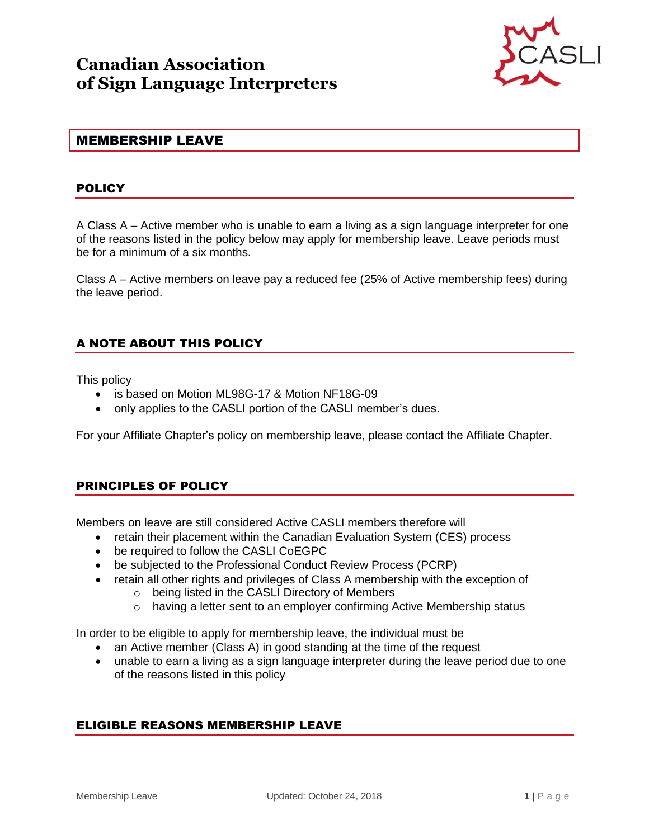## **Canadian Association of Sign Language Interpreters**



## MEMBERSHIP LEAVE

#### **POLICY**

A Class A – Active member who is unable to earn a living as a sign language interpreter for one of the reasons listed in the policy below may apply for membership leave. Leave periods must be for a minimum of a six months.

Class A – Active members on leave pay a reduced fee (25% of Active membership fees) during the leave period.

### A NOTE ABOUT THIS POLICY

This policy

- is based on Motion ML98G-17 & Motion NF18G-09
- only applies to the CASLI portion of the CASLI member's dues.

For your Affiliate Chapter's policy on membership leave, please contact the Affiliate Chapter.

### PRINCIPLES OF POLICY

Members on leave are still considered Active CASLI members therefore will

- retain their placement within the Canadian Evaluation System (CES) process
- be required to follow the CASLI CoEGPC
- be subjected to the Professional Conduct Review Process (PCRP)
- retain all other rights and privileges of Class A membership with the exception of
	- o being listed in the CASLI Directory of Members
	- o having a letter sent to an employer confirming Active Membership status

In order to be eligible to apply for membership leave, the individual must be

- an Active member (Class A) in good standing at the time of the request
- unable to earn a living as a sign language interpreter during the leave period due to one of the reasons listed in this policy

#### ELIGIBLE REASONS MEMBERSHIP LEAVE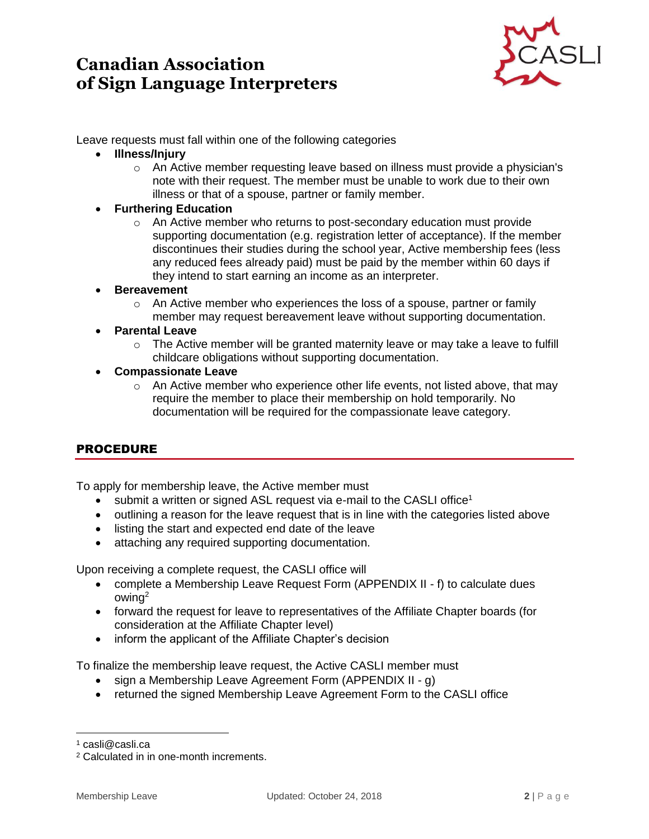## **Canadian Association of Sign Language Interpreters**



Leave requests must fall within one of the following categories

- **Illness/Injury**
	- $\circ$  An Active member requesting leave based on illness must provide a physician's note with their request. The member must be unable to work due to their own illness or that of a spouse, partner or family member.
- **Furthering Education** 
	- $\circ$  An Active member who returns to post-secondary education must provide supporting documentation (e.g. registration letter of acceptance). If the member discontinues their studies during the school year, Active membership fees (less any reduced fees already paid) must be paid by the member within 60 days if they intend to start earning an income as an interpreter.
- **Bereavement** 
	- $\circ$  An Active member who experiences the loss of a spouse, partner or family member may request bereavement leave without supporting documentation.
- **Parental Leave** 
	- o The Active member will be granted maternity leave or may take a leave to fulfill childcare obligations without supporting documentation.
- **Compassionate Leave**
	- $\circ$  An Active member who experience other life events, not listed above, that may require the member to place their membership on hold temporarily. No documentation will be required for the compassionate leave category.

### PROCEDURE

To apply for membership leave, the Active member must

- submit a written or signed ASL request via e-mail to the CASLI office<sup>1</sup>
- outlining a reason for the leave request that is in line with the categories listed above
- listing the start and expected end date of the leave
- attaching any required supporting documentation.

Upon receiving a complete request, the CASLI office will

- complete a Membership Leave Request Form (APPENDIX II f) to calculate dues owing<sup>2</sup>
- forward the request for leave to representatives of the Affiliate Chapter boards (for consideration at the Affiliate Chapter level)
- inform the applicant of the Affiliate Chapter's decision

To finalize the membership leave request, the Active CASLI member must

- $\bullet$  sign a Membership Leave Agreement Form (APPENDIX II g)
- returned the signed Membership Leave Agreement Form to the CASLI office

<sup>1</sup> casli@casli.ca

<sup>2</sup> Calculated in in one-month increments.